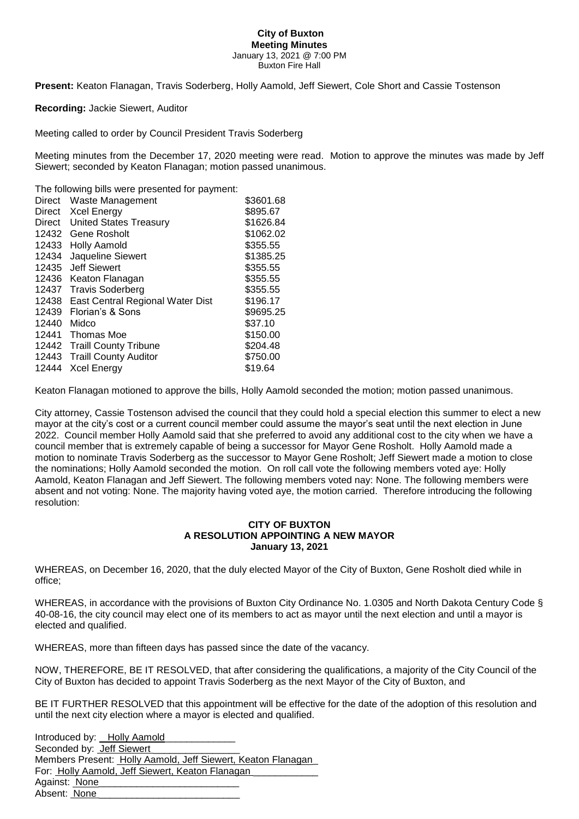## **City of Buxton Meeting Minutes** January 13, 2021 @ 7:00 PM Buxton Fire Hall

**Present:** Keaton Flanagan, Travis Soderberg, Holly Aamold, Jeff Siewert, Cole Short and Cassie Tostenson

## **Recording:** Jackie Siewert, Auditor

Meeting called to order by Council President Travis Soderberg

Meeting minutes from the December 17, 2020 meeting were read. Motion to approve the minutes was made by Jeff Siewert; seconded by Keaton Flanagan; motion passed unanimous.

The following bills were presented for payment:

| <b>Direct</b> | Waste Management                 | \$3601.68 |
|---------------|----------------------------------|-----------|
| Direct        | Xcel Energy                      | \$895.67  |
| Direct        | <b>United States Treasury</b>    | \$1626.84 |
| 12432         | Gene Rosholt                     | \$1062.02 |
| 12433         | <b>Holly Aamold</b>              | \$355.55  |
| 12434         | Jaqueline Siewert                | \$1385.25 |
| 12435         | Jeff Siewert                     | \$355.55  |
| 12436         | Keaton Flanagan                  | \$355.55  |
| 12437         | <b>Travis Soderberg</b>          | \$355.55  |
| 12438         | East Central Regional Water Dist | \$196.17  |
| 12439         | Florian's & Sons                 | \$9695.25 |
| 12440         | Midco                            | \$37.10   |
| 12441         | Thomas Moe                       | \$150.00  |
| 12442         | <b>Traill County Tribune</b>     | \$204.48  |
| 12443         | <b>Traill County Auditor</b>     | \$750.00  |
| 12444         | <b>Xcel Energy</b>               | \$19.64   |

Keaton Flanagan motioned to approve the bills, Holly Aamold seconded the motion; motion passed unanimous.

City attorney, Cassie Tostenson advised the council that they could hold a special election this summer to elect a new mayor at the city's cost or a current council member could assume the mayor's seat until the next election in June 2022. Council member Holly Aamold said that she preferred to avoid any additional cost to the city when we have a council member that is extremely capable of being a successor for Mayor Gene Rosholt. Holly Aamold made a motion to nominate Travis Soderberg as the successor to Mayor Gene Rosholt; Jeff Siewert made a motion to close the nominations; Holly Aamold seconded the motion. On roll call vote the following members voted aye: Holly Aamold, Keaton Flanagan and Jeff Siewert. The following members voted nay: None. The following members were absent and not voting: None. The majority having voted aye, the motion carried. Therefore introducing the following resolution:

## **CITY OF BUXTON A RESOLUTION APPOINTING A NEW MAYOR January 13, 2021**

WHEREAS, on December 16, 2020, that the duly elected Mayor of the City of Buxton, Gene Rosholt died while in office;

WHEREAS, in accordance with the provisions of Buxton City Ordinance No. 1.0305 and North Dakota Century Code § 40-08-16, the city council may elect one of its members to act as mayor until the next election and until a mayor is elected and qualified.

WHEREAS, more than fifteen days has passed since the date of the vacancy.

NOW, THEREFORE, BE IT RESOLVED, that after considering the qualifications, a majority of the City Council of the City of Buxton has decided to appoint Travis Soderberg as the next Mayor of the City of Buxton, and

BE IT FURTHER RESOLVED that this appointment will be effective for the date of the adoption of this resolution and until the next city election where a mayor is elected and qualified.

Introduced by: \_ Holly Aamold Seconded by: **Jeff Siewert** Members Present: Holly Aamold, Jeff Siewert, Keaton Flanagan\_ For: Holly Aamold, Jeff Siewert, Keaton Flanagan Against: None Absent: None